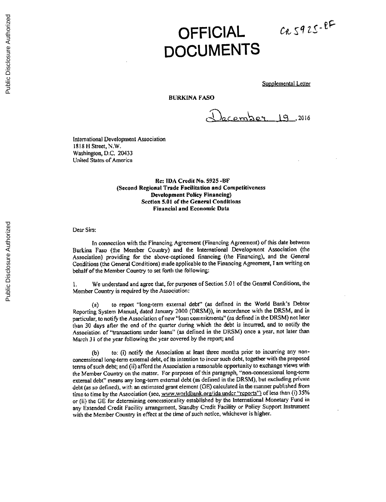## **OFFICIAL DOCUMENTS**

 $CRS92S-BF$ 

Supplemental Letter

## BURKINA **FASO**

December 19,2016

International Development Association **1818 H Street, N.W.** Washington, **D.C.** 20433 United States of America

> Re: **IDA** Credit No. **5925 -BF** (Second Regional Trade Facilitation and Competitiveness Development Policy Financing) Section **5.01** of the General Conditions Financial and Economic Data

Dear Sirs:

In connection with the Financing Agreement (Financing Agreement) of this date between Burkina Faso (the Member Country) and the International Development Association (the Association) providing for the above-captioned financing (the Financing), and the General Conditions (the General Conditions) made applicable to the Financing Agreement, **I** am writing on behalf of the Member Country to set forth the following:

**1.** We understand and agree that, for purposes of Section **5.01** of the General Conditions, the Member Country is required **by** the Association:

(a) to report "long-term external debt" (as defined in the World Bank's Debtor Reporting System Manual, dated January 2000 (DRSM)), in accordance with the DRSM, and in particular, to notify the Association ofnew "loan commitments" (as defined in the DRSM) not later than **30** days after the end of the quarter during which the debt is incurred, and to notify the Association of "transactions under loans" (as defined in the DRSM) once a year, not later than March **31** of the year following the year covered **by** the report; and

**(b)** to: (i) notify the Association at least three months prior to incurring any nonconcessional long-term external debt, of its intention to incur such debt, together with the proposed terms of such debt; and (ii) afford the Association a reasonable opportunity to exchange views with the Member Country on the matter. For purposes of this paragraph, "non-concessional long-term external debt" means any long-term external debt (as defined in the DRSM), but excluding private debt (as so defined), with an estimated grant element **(GE)** calculated in the manner published from time to time **by** the Association (see, www.worldbank.ore/ida undcr "reports" **of less** than (i) *35%* or (ii) the **GE** for determining concessionality established **by** the International Monetary Fund in any Extended Credit Facility arrangement, Standby Credit Facility or Policy Support Instrument with the Member Country in effect at the time of such notice, whichever is higher.